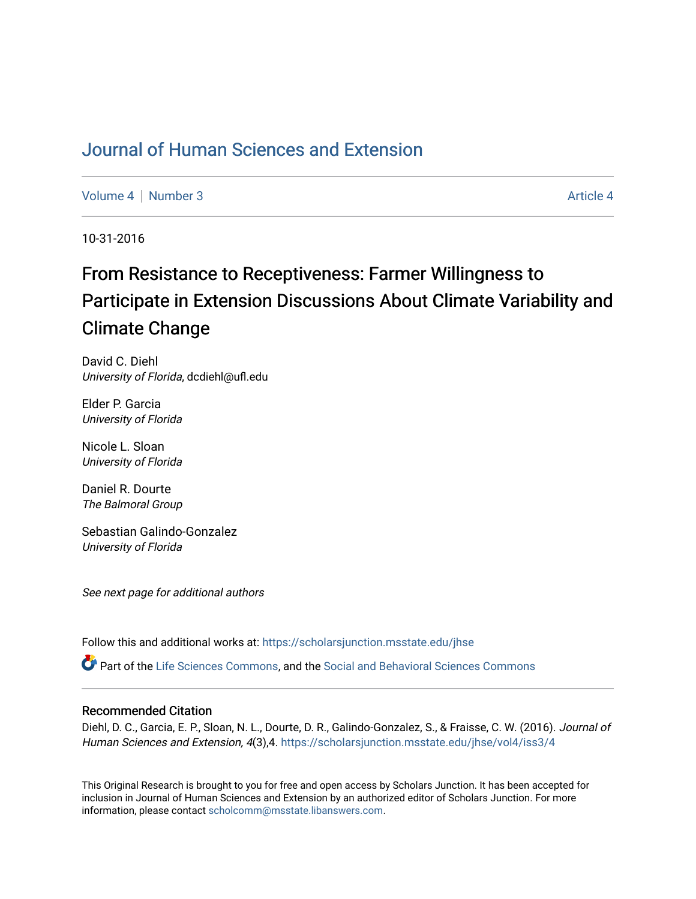# [Journal of Human Sciences and Extension](https://scholarsjunction.msstate.edu/jhse)

[Volume 4](https://scholarsjunction.msstate.edu/jhse/vol4) | [Number 3](https://scholarsjunction.msstate.edu/jhse/vol4/iss3) Article 4

10-31-2016

# From Resistance to Receptiveness: Farmer Willingness to Participate in Extension Discussions About Climate Variability and Climate Change

David C. Diehl University of Florida, dcdiehl@ufl.edu

Elder P. Garcia University of Florida

Nicole L. Sloan University of Florida

Daniel R. Dourte The Balmoral Group

Sebastian Galindo-Gonzalez University of Florida

See next page for additional authors

Follow this and additional works at: [https://scholarsjunction.msstate.edu/jhse](https://scholarsjunction.msstate.edu/jhse?utm_source=scholarsjunction.msstate.edu%2Fjhse%2Fvol4%2Fiss3%2F4&utm_medium=PDF&utm_campaign=PDFCoverPages)

Part of the [Life Sciences Commons,](http://network.bepress.com/hgg/discipline/1016?utm_source=scholarsjunction.msstate.edu%2Fjhse%2Fvol4%2Fiss3%2F4&utm_medium=PDF&utm_campaign=PDFCoverPages) and the [Social and Behavioral Sciences Commons](http://network.bepress.com/hgg/discipline/316?utm_source=scholarsjunction.msstate.edu%2Fjhse%2Fvol4%2Fiss3%2F4&utm_medium=PDF&utm_campaign=PDFCoverPages)

#### Recommended Citation

Diehl, D. C., Garcia, E. P., Sloan, N. L., Dourte, D. R., Galindo-Gonzalez, S., & Fraisse, C. W. (2016). Journal of Human Sciences and Extension, 4(3),4. https://scholarsjunction.msstate.edu/jhse/vol4/iss3/4

This Original Research is brought to you for free and open access by Scholars Junction. It has been accepted for inclusion in Journal of Human Sciences and Extension by an authorized editor of Scholars Junction. For more information, please contact [scholcomm@msstate.libanswers.com](mailto:scholcomm@msstate.libanswers.com).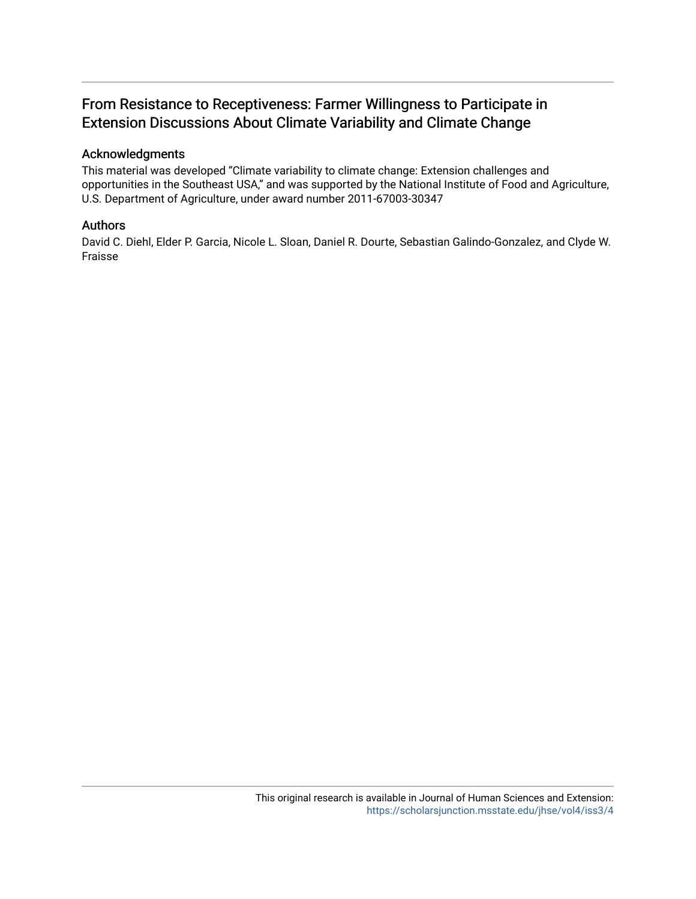# From Resistance to Receptiveness: Farmer Willingness to Participate in Extension Discussions About Climate Variability and Climate Change

#### Acknowledgments

This material was developed "Climate variability to climate change: Extension challenges and opportunities in the Southeast USA," and was supported by the National Institute of Food and Agriculture, U.S. Department of Agriculture, under award number 2011-67003-30347

#### Authors

David C. Diehl, Elder P. Garcia, Nicole L. Sloan, Daniel R. Dourte, Sebastian Galindo-Gonzalez, and Clyde W. Fraisse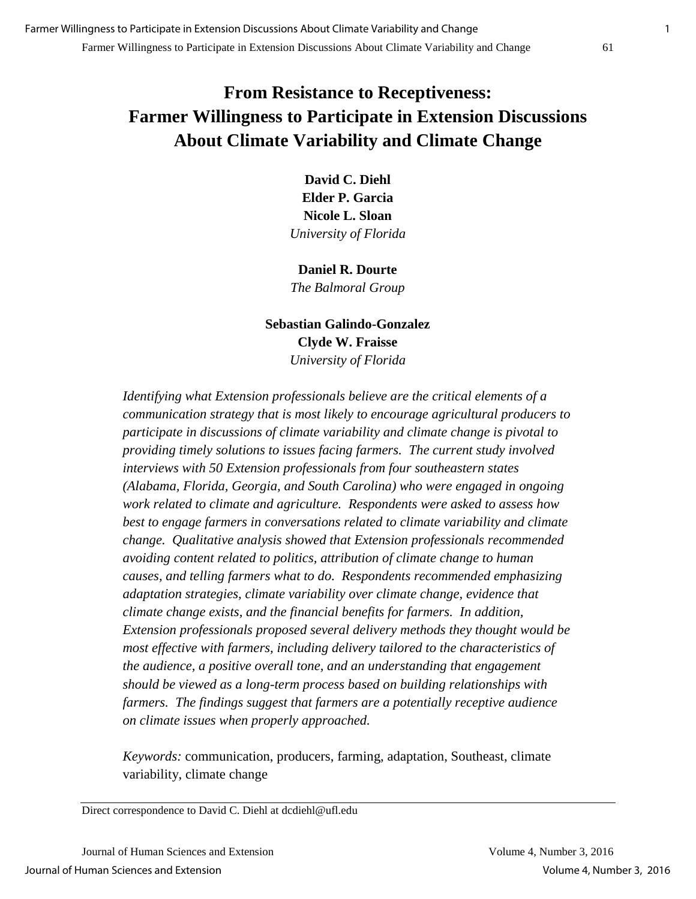# **From Resistance to Receptiveness: Farmer Willingness to Participate in Extension Discussions About Climate Variability and Climate Change**

**David C. Diehl Elder P. Garcia Nicole L. Sloan**  *University of Florida* 

**Daniel R. Dourte**  *The Balmoral Group* 

## **Sebastian Galindo-Gonzalez Clyde W. Fraisse**  *University of Florida*

*Identifying what Extension professionals believe are the critical elements of a communication strategy that is most likely to encourage agricultural producers to participate in discussions of climate variability and climate change is pivotal to providing timely solutions to issues facing farmers. The current study involved interviews with 50 Extension professionals from four southeastern states (Alabama, Florida, Georgia, and South Carolina) who were engaged in ongoing work related to climate and agriculture. Respondents were asked to assess how best to engage farmers in conversations related to climate variability and climate change. Qualitative analysis showed that Extension professionals recommended avoiding content related to politics, attribution of climate change to human causes, and telling farmers what to do. Respondents recommended emphasizing adaptation strategies, climate variability over climate change, evidence that climate change exists, and the financial benefits for farmers. In addition, Extension professionals proposed several delivery methods they thought would be most effective with farmers, including delivery tailored to the characteristics of the audience, a positive overall tone, and an understanding that engagement should be viewed as a long-term process based on building relationships with farmers. The findings suggest that farmers are a potentially receptive audience on climate issues when properly approached.* 

*Keywords:* communication, producers, farming, adaptation, Southeast, climate variability, climate change

Direct correspondence to David C. Diehl at dcdiehl@ufl.edu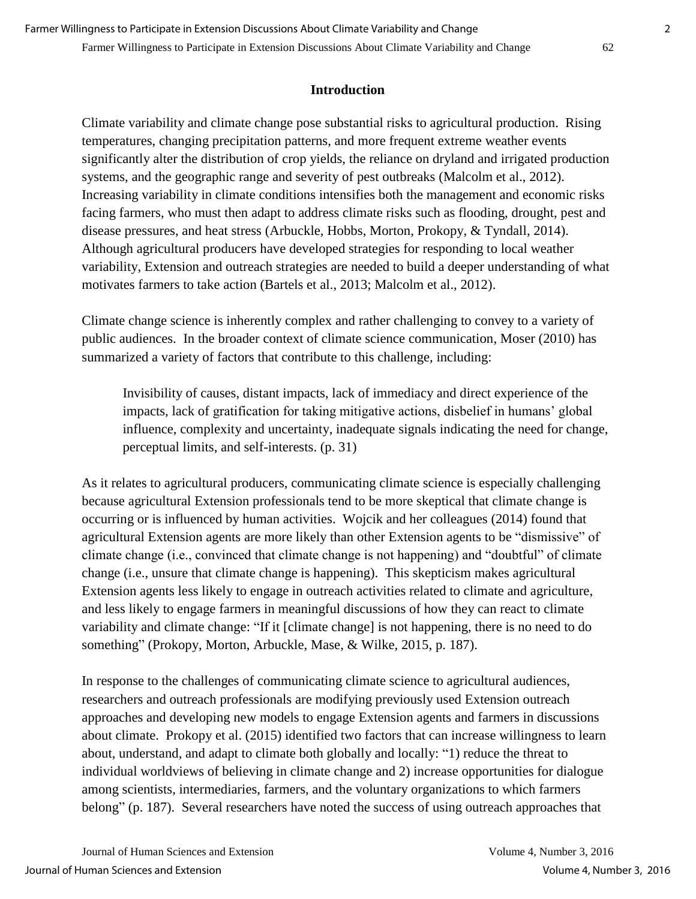## **Introduction**

Climate variability and climate change pose substantial risks to agricultural production. Rising temperatures, changing precipitation patterns, and more frequent extreme weather events significantly alter the distribution of crop yields, the reliance on dryland and irrigated production systems, and the geographic range and severity of pest outbreaks (Malcolm et al., 2012). Increasing variability in climate conditions intensifies both the management and economic risks facing farmers, who must then adapt to address climate risks such as flooding, drought, pest and disease pressures, and heat stress (Arbuckle, Hobbs, Morton, Prokopy, & Tyndall, 2014). Although agricultural producers have developed strategies for responding to local weather variability, Extension and outreach strategies are needed to build a deeper understanding of what motivates farmers to take action (Bartels et al., 2013; Malcolm et al., 2012).

Climate change science is inherently complex and rather challenging to convey to a variety of public audiences. In the broader context of climate science communication, Moser (2010) has summarized a variety of factors that contribute to this challenge, including:

Invisibility of causes, distant impacts, lack of immediacy and direct experience of the impacts, lack of gratification for taking mitigative actions, disbelief in humans' global influence, complexity and uncertainty, inadequate signals indicating the need for change, perceptual limits, and self-interests. (p. 31)

As it relates to agricultural producers, communicating climate science is especially challenging because agricultural Extension professionals tend to be more skeptical that climate change is occurring or is influenced by human activities. Wojcik and her colleagues (2014) found that agricultural Extension agents are more likely than other Extension agents to be "dismissive" of climate change (i.e., convinced that climate change is not happening) and "doubtful" of climate change (i.e., unsure that climate change is happening). This skepticism makes agricultural Extension agents less likely to engage in outreach activities related to climate and agriculture, and less likely to engage farmers in meaningful discussions of how they can react to climate variability and climate change: "If it [climate change] is not happening, there is no need to do something" (Prokopy, Morton, Arbuckle, Mase, & Wilke, 2015, p. 187).

In response to the challenges of communicating climate science to agricultural audiences, researchers and outreach professionals are modifying previously used Extension outreach approaches and developing new models to engage Extension agents and farmers in discussions about climate. Prokopy et al. (2015) identified two factors that can increase willingness to learn about, understand, and adapt to climate both globally and locally: "1) reduce the threat to individual worldviews of believing in climate change and 2) increase opportunities for dialogue among scientists, intermediaries, farmers, and the voluntary organizations to which farmers belong" (p. 187). Several researchers have noted the success of using outreach approaches that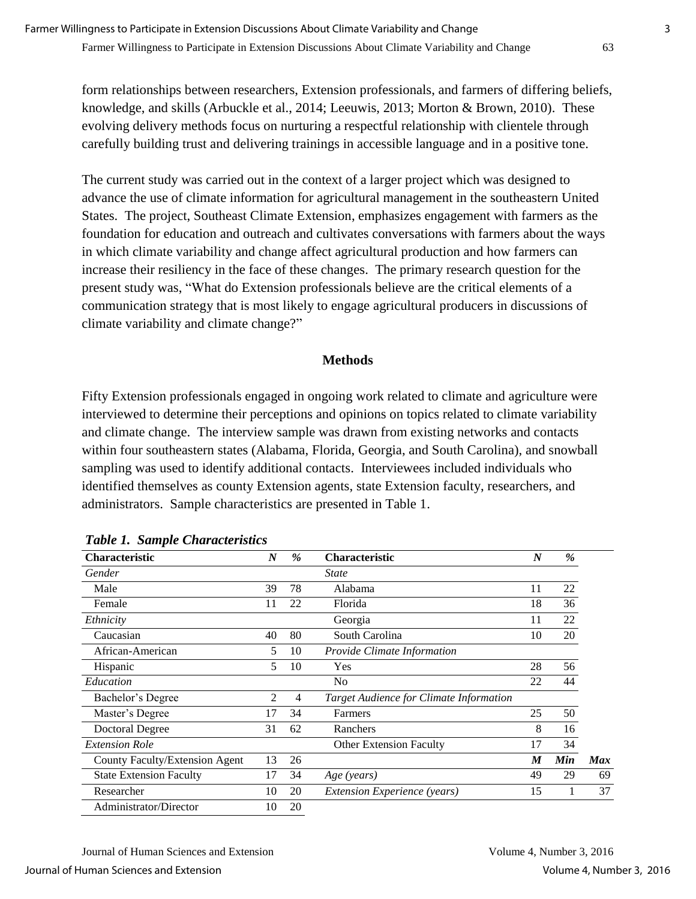form relationships between researchers, Extension professionals, and farmers of differing beliefs, knowledge, and skills (Arbuckle et al., 2014; Leeuwis, 2013; Morton & Brown, 2010). These evolving delivery methods focus on nurturing a respectful relationship with clientele through carefully building trust and delivering trainings in accessible language and in a positive tone.

The current study was carried out in the context of a larger project which was designed to advance the use of climate information for agricultural management in the southeastern United States. The project, Southeast Climate Extension, emphasizes engagement with farmers as the foundation for education and outreach and cultivates conversations with farmers about the ways in which climate variability and change affect agricultural production and how farmers can increase their resiliency in the face of these changes. The primary research question for the present study was, "What do Extension professionals believe are the critical elements of a communication strategy that is most likely to engage agricultural producers in discussions of climate variability and climate change?"

#### **Methods**

Fifty Extension professionals engaged in ongoing work related to climate and agriculture were interviewed to determine their perceptions and opinions on topics related to climate variability and climate change. The interview sample was drawn from existing networks and contacts within four southeastern states (Alabama, Florida, Georgia, and South Carolina), and snowball sampling was used to identify additional contacts. Interviewees included individuals who identified themselves as county Extension agents, state Extension faculty, researchers, and administrators. Sample characteristics are presented in Table 1.

| <b>Characteristic</b>          | $\boldsymbol{N}$ | $\frac{9}{6}$ | <b>Characteristic</b>                   | $\boldsymbol{N}$ | %   |            |
|--------------------------------|------------------|---------------|-----------------------------------------|------------------|-----|------------|
| Gender                         |                  |               | <b>State</b>                            |                  |     |            |
| Male                           | 39               | 78            | Alabama                                 | 11               | 22  |            |
| Female                         | 11               | 22            | Florida                                 | 18               | 36  |            |
| Ethnicity                      |                  |               | Georgia                                 | 11               | 22  |            |
| Caucasian                      | 40               | 80            | South Carolina                          | 10               | 20  |            |
| African-American               | 5.               | 10            | Provide Climate Information             |                  |     |            |
| Hispanic                       | 5                | 10            | Yes                                     | 28               | 56  |            |
| Education                      |                  |               | N <sub>0</sub>                          | 22               | 44  |            |
| Bachelor's Degree              | 2                | 4             | Target Audience for Climate Information |                  |     |            |
| Master's Degree                | 17               | 34            | Farmers                                 | 25               | 50  |            |
| <b>Doctoral Degree</b>         | 31               | 62            | Ranchers                                | 8                | 16  |            |
| <b>Extension Role</b>          |                  |               | <b>Other Extension Faculty</b>          | 17               | 34  |            |
| County Faculty/Extension Agent | 13               | 26            |                                         | M                | Min | <b>Max</b> |
| <b>State Extension Faculty</b> | 17               | 34            | Age (years)                             | 49               | 29  | 69         |
| Researcher                     | 10               | 20            | <b>Extension Experience</b> (years)     | 15               |     | 37         |
| Administrator/Director         | 10               | 20            |                                         |                  |     |            |

*Table 1. Sample Characteristics*

Journal of Human Sciences and Extension Volume 4, Number 3, 2016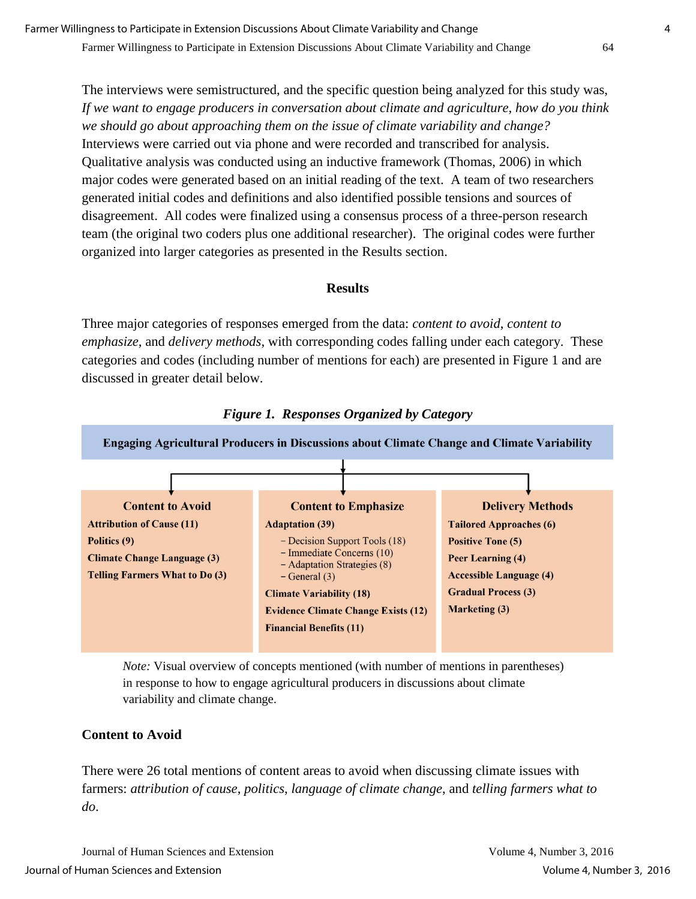The interviews were semistructured, and the specific question being analyzed for this study was, *If we want to engage producers in conversation about climate and agriculture, how do you think we should go about approaching them on the issue of climate variability and change?* Interviews were carried out via phone and were recorded and transcribed for analysis. Qualitative analysis was conducted using an inductive framework (Thomas, 2006) in which major codes were generated based on an initial reading of the text. A team of two researchers generated initial codes and definitions and also identified possible tensions and sources of disagreement. All codes were finalized using a consensus process of a three-person research team (the original two coders plus one additional researcher). The original codes were further organized into larger categories as presented in the Results section.

#### **Results**

Three major categories of responses emerged from the data: *content to avoid*, *content to emphasize*, and *delivery methods*, with corresponding codes falling under each category. These categories and codes (including number of mentions for each) are presented in Figure 1 and are discussed in greater detail below.





*Note:* Visual overview of concepts mentioned (with number of mentions in parentheses) in response to how to engage agricultural producers in discussions about climate variability and climate change.

## **Content to Avoid**

There were 26 total mentions of content areas to avoid when discussing climate issues with farmers: *attribution of cause*, *politics*, *language of climate change*, and *telling farmers what to do*.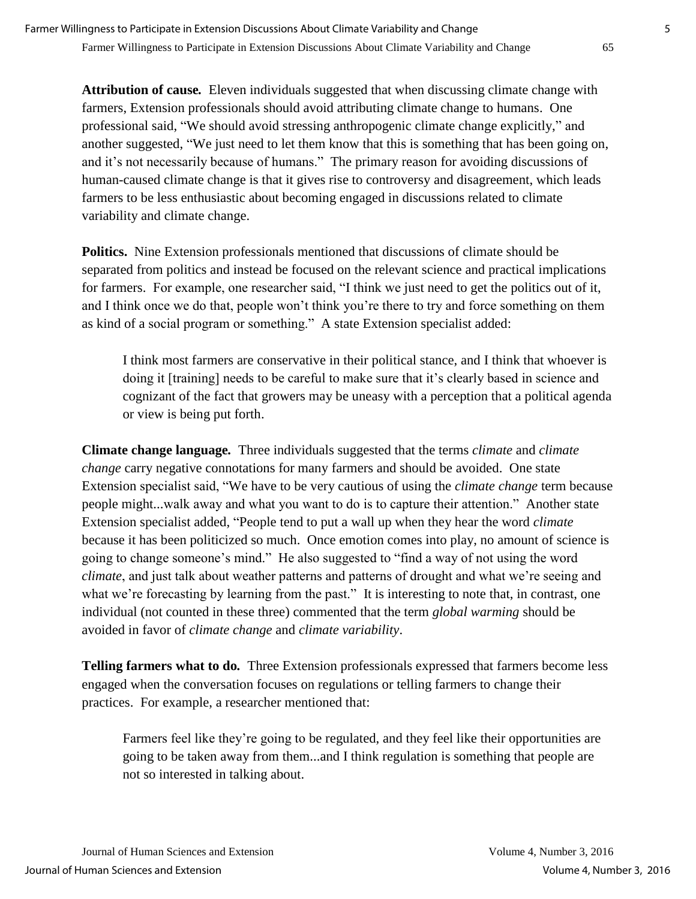**Attribution of cause***.*Eleven individuals suggested that when discussing climate change with farmers, Extension professionals should avoid attributing climate change to humans. One professional said, "We should avoid stressing anthropogenic climate change explicitly," and another suggested, "We just need to let them know that this is something that has been going on, and it's not necessarily because of humans." The primary reason for avoiding discussions of human-caused climate change is that it gives rise to controversy and disagreement, which leads farmers to be less enthusiastic about becoming engaged in discussions related to climate variability and climate change.

**Politics.**Nine Extension professionals mentioned that discussions of climate should be separated from politics and instead be focused on the relevant science and practical implications for farmers. For example, one researcher said, "I think we just need to get the politics out of it, and I think once we do that, people won't think you're there to try and force something on them as kind of a social program or something." A state Extension specialist added:

I think most farmers are conservative in their political stance, and I think that whoever is doing it [training] needs to be careful to make sure that it's clearly based in science and cognizant of the fact that growers may be uneasy with a perception that a political agenda or view is being put forth.

**Climate change language***.* Three individuals suggested that the terms *climate* and *climate change* carry negative connotations for many farmers and should be avoided. One state Extension specialist said, "We have to be very cautious of using the *climate change* term because people might...walk away and what you want to do is to capture their attention." Another state Extension specialist added, "People tend to put a wall up when they hear the word *climate* because it has been politicized so much. Once emotion comes into play, no amount of science is going to change someone's mind." He also suggested to "find a way of not using the word *climate*, and just talk about weather patterns and patterns of drought and what we're seeing and what we're forecasting by learning from the past." It is interesting to note that, in contrast, one individual (not counted in these three) commented that the term *global warming* should be avoided in favor of *climate change* and *climate variability*.

**Telling farmers what to do***.* Three Extension professionals expressed that farmers become less engaged when the conversation focuses on regulations or telling farmers to change their practices. For example, a researcher mentioned that:

Farmers feel like they're going to be regulated, and they feel like their opportunities are going to be taken away from them...and I think regulation is something that people are not so interested in talking about.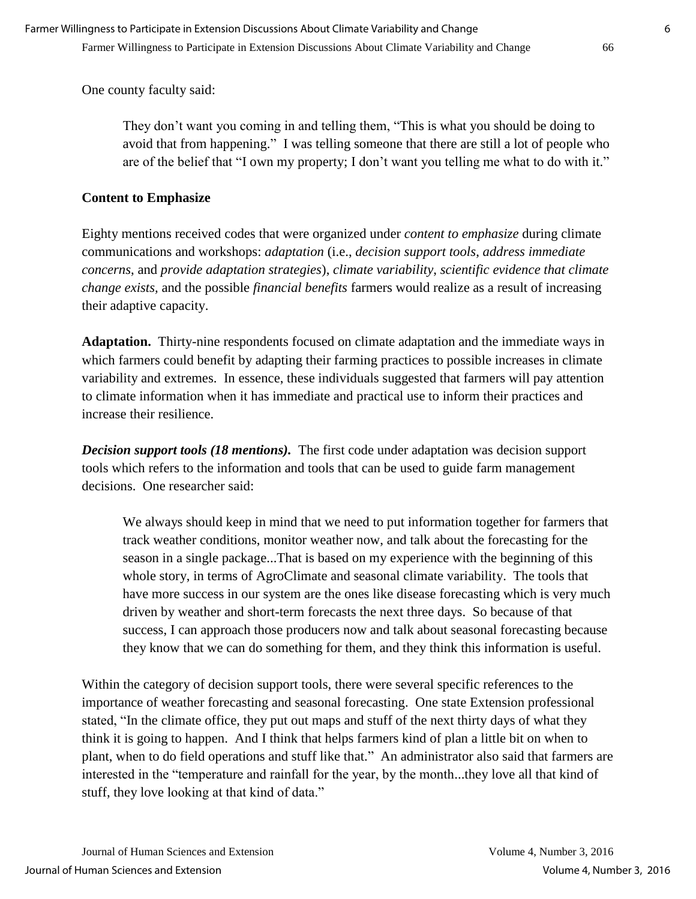One county faculty said:

They don't want you coming in and telling them, "This is what you should be doing to avoid that from happening." I was telling someone that there are still a lot of people who are of the belief that "I own my property; I don't want you telling me what to do with it."

## **Content to Emphasize**

Eighty mentions received codes that were organized under *content to emphasize* during climate communications and workshops: *adaptation* (i.e., *decision support tools*, *address immediate concerns*, and *provide adaptation strategies*), *climate variability*, *scientific evidence that climate change exists,* and the possible *financial benefits* farmers would realize as a result of increasing their adaptive capacity.

**Adaptation.**Thirty-nine respondents focused on climate adaptation and the immediate ways in which farmers could benefit by adapting their farming practices to possible increases in climate variability and extremes. In essence, these individuals suggested that farmers will pay attention to climate information when it has immediate and practical use to inform their practices and increase their resilience.

*Decision support tools (18 mentions).* The first code under adaptation was decision support tools which refers to the information and tools that can be used to guide farm management decisions. One researcher said:

We always should keep in mind that we need to put information together for farmers that track weather conditions, monitor weather now, and talk about the forecasting for the season in a single package...That is based on my experience with the beginning of this whole story, in terms of AgroClimate and seasonal climate variability. The tools that have more success in our system are the ones like disease forecasting which is very much driven by weather and short-term forecasts the next three days. So because of that success, I can approach those producers now and talk about seasonal forecasting because they know that we can do something for them, and they think this information is useful.

Within the category of decision support tools, there were several specific references to the importance of weather forecasting and seasonal forecasting. One state Extension professional stated, "In the climate office, they put out maps and stuff of the next thirty days of what they think it is going to happen. And I think that helps farmers kind of plan a little bit on when to plant, when to do field operations and stuff like that." An administrator also said that farmers are interested in the "temperature and rainfall for the year, by the month...they love all that kind of stuff, they love looking at that kind of data."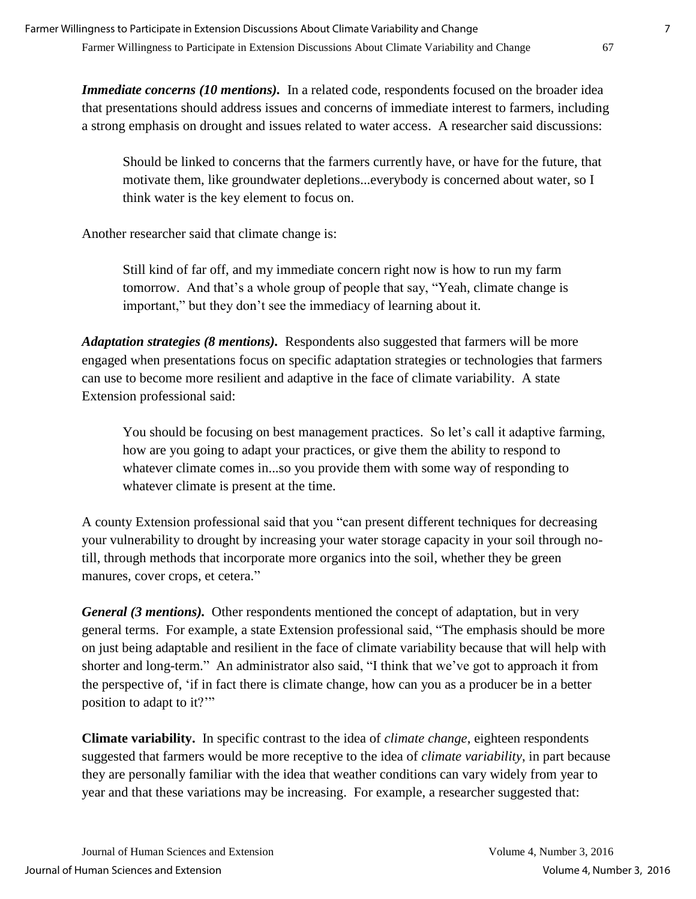*Immediate concerns (10 mentions)*. In a related code, respondents focused on the broader idea that presentations should address issues and concerns of immediate interest to farmers, including a strong emphasis on drought and issues related to water access. A researcher said discussions:

Should be linked to concerns that the farmers currently have, or have for the future, that motivate them, like groundwater depletions...everybody is concerned about water, so I think water is the key element to focus on.

Another researcher said that climate change is:

Still kind of far off, and my immediate concern right now is how to run my farm tomorrow. And that's a whole group of people that say, "Yeah, climate change is important," but they don't see the immediacy of learning about it.

*Adaptation strategies (8 mentions).* Respondents also suggested that farmers will be more engaged when presentations focus on specific adaptation strategies or technologies that farmers can use to become more resilient and adaptive in the face of climate variability. A state Extension professional said:

You should be focusing on best management practices. So let's call it adaptive farming, how are you going to adapt your practices, or give them the ability to respond to whatever climate comes in...so you provide them with some way of responding to whatever climate is present at the time.

A county Extension professional said that you "can present different techniques for decreasing your vulnerability to drought by increasing your water storage capacity in your soil through notill, through methods that incorporate more organics into the soil, whether they be green manures, cover crops, et cetera."

*General (3 mentions).* Other respondents mentioned the concept of adaptation, but in very general terms. For example, a state Extension professional said, "The emphasis should be more on just being adaptable and resilient in the face of climate variability because that will help with shorter and long-term." An administrator also said, "I think that we've got to approach it from the perspective of, 'if in fact there is climate change, how can you as a producer be in a better position to adapt to it?'"

**Climate variability.**In specific contrast to the idea of *climate change*, eighteen respondents suggested that farmers would be more receptive to the idea of *climate variability*, in part because they are personally familiar with the idea that weather conditions can vary widely from year to year and that these variations may be increasing. For example, a researcher suggested that: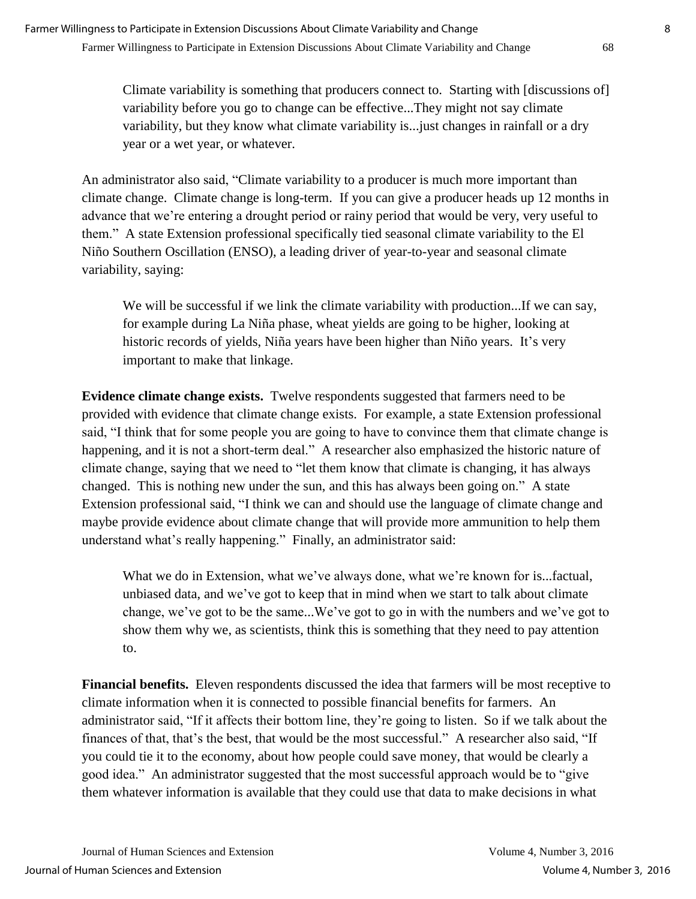Climate variability is something that producers connect to. Starting with [discussions of] variability before you go to change can be effective...They might not say climate variability, but they know what climate variability is...just changes in rainfall or a dry year or a wet year, or whatever.

An administrator also said, "Climate variability to a producer is much more important than climate change. Climate change is long-term. If you can give a producer heads up 12 months in advance that we're entering a drought period or rainy period that would be very, very useful to them." A state Extension professional specifically tied seasonal climate variability to the El Niño Southern Oscillation (ENSO), a leading driver of year-to-year and seasonal climate variability, saying:

We will be successful if we link the climate variability with production...If we can say, for example during La Niña phase, wheat yields are going to be higher, looking at historic records of yields, Niña years have been higher than Niño years. It's very important to make that linkage.

**Evidence climate change exists.** Twelve respondents suggested that farmers need to be provided with evidence that climate change exists. For example, a state Extension professional said, "I think that for some people you are going to have to convince them that climate change is happening, and it is not a short-term deal." A researcher also emphasized the historic nature of climate change, saying that we need to "let them know that climate is changing, it has always changed. This is nothing new under the sun, and this has always been going on." A state Extension professional said, "I think we can and should use the language of climate change and maybe provide evidence about climate change that will provide more ammunition to help them understand what's really happening." Finally, an administrator said:

What we do in Extension, what we've always done, what we're known for is...factual, unbiased data, and we've got to keep that in mind when we start to talk about climate change, we've got to be the same...We've got to go in with the numbers and we've got to show them why we, as scientists, think this is something that they need to pay attention to.

**Financial benefits.**Eleven respondents discussed the idea that farmers will be most receptive to climate information when it is connected to possible financial benefits for farmers. An administrator said, "If it affects their bottom line, they're going to listen. So if we talk about the finances of that, that's the best, that would be the most successful." A researcher also said, "If you could tie it to the economy, about how people could save money, that would be clearly a good idea." An administrator suggested that the most successful approach would be to "give them whatever information is available that they could use that data to make decisions in what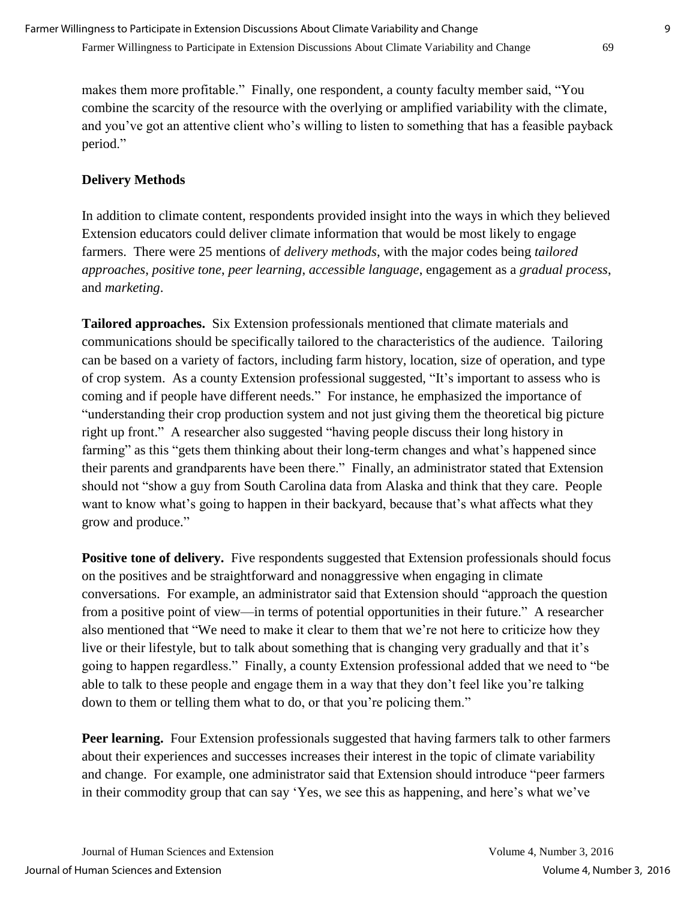makes them more profitable." Finally, one respondent, a county faculty member said, "You combine the scarcity of the resource with the overlying or amplified variability with the climate, and you've got an attentive client who's willing to listen to something that has a feasible payback period."

## **Delivery Methods**

In addition to climate content, respondents provided insight into the ways in which they believed Extension educators could deliver climate information that would be most likely to engage farmers. There were 25 mentions of *delivery methods*, with the major codes being *tailored approaches*, *positive tone*, *peer learning*, *accessible language*, engagement as a *gradual process*, and *marketing*.

**Tailored approaches.**Six Extension professionals mentioned that climate materials and communications should be specifically tailored to the characteristics of the audience. Tailoring can be based on a variety of factors, including farm history, location, size of operation, and type of crop system. As a county Extension professional suggested, "It's important to assess who is coming and if people have different needs." For instance, he emphasized the importance of "understanding their crop production system and not just giving them the theoretical big picture right up front." A researcher also suggested "having people discuss their long history in farming" as this "gets them thinking about their long-term changes and what's happened since their parents and grandparents have been there." Finally, an administrator stated that Extension should not "show a guy from South Carolina data from Alaska and think that they care. People want to know what's going to happen in their backyard, because that's what affects what they grow and produce."

**Positive tone of delivery.** Five respondents suggested that Extension professionals should focus on the positives and be straightforward and nonaggressive when engaging in climate conversations. For example, an administrator said that Extension should "approach the question from a positive point of view—in terms of potential opportunities in their future." A researcher also mentioned that "We need to make it clear to them that we're not here to criticize how they live or their lifestyle, but to talk about something that is changing very gradually and that it's going to happen regardless." Finally, a county Extension professional added that we need to "be able to talk to these people and engage them in a way that they don't feel like you're talking down to them or telling them what to do, or that you're policing them."

**Peer learning.** Four Extension professionals suggested that having farmers talk to other farmers about their experiences and successes increases their interest in the topic of climate variability and change. For example, one administrator said that Extension should introduce "peer farmers in their commodity group that can say 'Yes, we see this as happening, and here's what we've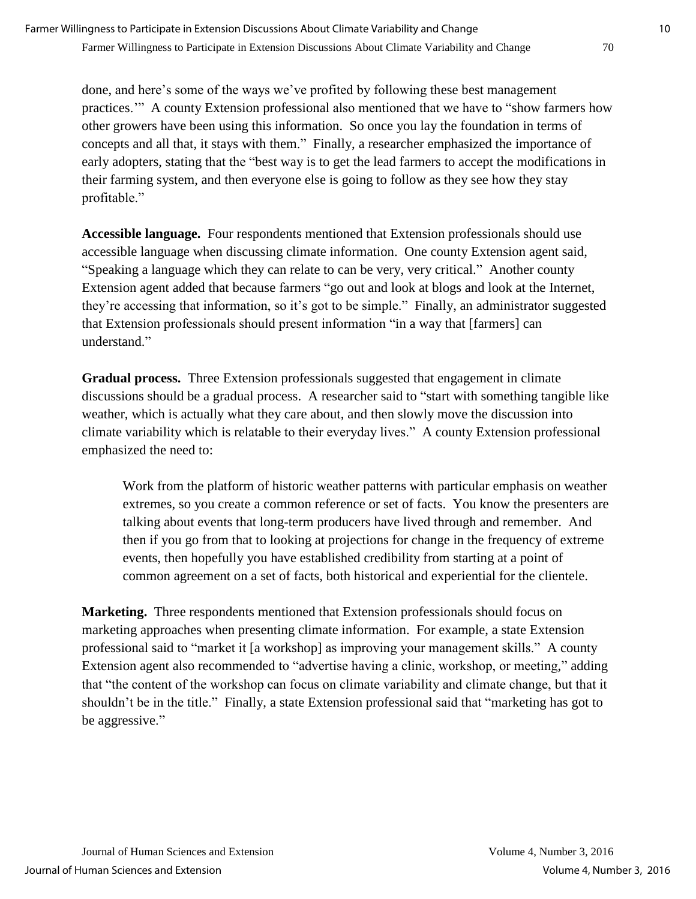done, and here's some of the ways we've profited by following these best management practices.'" A county Extension professional also mentioned that we have to "show farmers how other growers have been using this information. So once you lay the foundation in terms of concepts and all that, it stays with them." Finally, a researcher emphasized the importance of early adopters, stating that the "best way is to get the lead farmers to accept the modifications in their farming system, and then everyone else is going to follow as they see how they stay profitable."

**Accessible language.**Four respondents mentioned that Extension professionals should use accessible language when discussing climate information. One county Extension agent said, "Speaking a language which they can relate to can be very, very critical." Another county Extension agent added that because farmers "go out and look at blogs and look at the Internet, they're accessing that information, so it's got to be simple." Finally, an administrator suggested that Extension professionals should present information "in a way that [farmers] can understand<sup>"</sup>

**Gradual process.**Three Extension professionals suggested that engagement in climate discussions should be a gradual process. A researcher said to "start with something tangible like weather, which is actually what they care about, and then slowly move the discussion into climate variability which is relatable to their everyday lives." A county Extension professional emphasized the need to:

Work from the platform of historic weather patterns with particular emphasis on weather extremes, so you create a common reference or set of facts. You know the presenters are talking about events that long-term producers have lived through and remember. And then if you go from that to looking at projections for change in the frequency of extreme events, then hopefully you have established credibility from starting at a point of common agreement on a set of facts, both historical and experiential for the clientele.

**Marketing.**Three respondents mentioned that Extension professionals should focus on marketing approaches when presenting climate information. For example, a state Extension professional said to "market it [a workshop] as improving your management skills." A county Extension agent also recommended to "advertise having a clinic, workshop, or meeting," adding that "the content of the workshop can focus on climate variability and climate change, but that it shouldn't be in the title." Finally, a state Extension professional said that "marketing has got to be aggressive."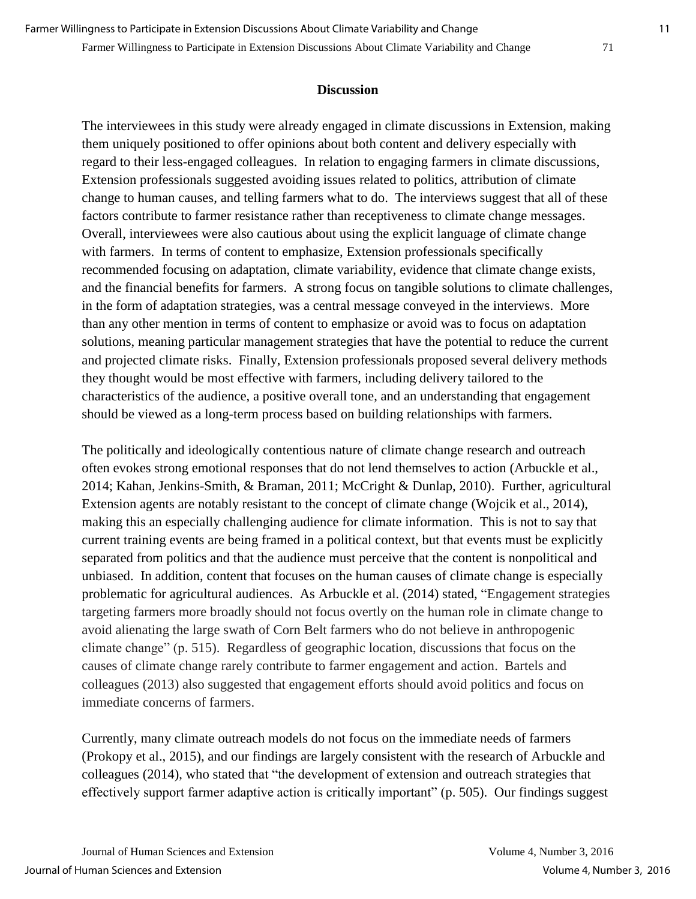#### Farmer Willingness to Participate in Extension Discussions About Climate Variability and Change 71

#### **Discussion**

The interviewees in this study were already engaged in climate discussions in Extension, making them uniquely positioned to offer opinions about both content and delivery especially with regard to their less-engaged colleagues. In relation to engaging farmers in climate discussions, Extension professionals suggested avoiding issues related to politics, attribution of climate change to human causes, and telling farmers what to do. The interviews suggest that all of these factors contribute to farmer resistance rather than receptiveness to climate change messages. Overall, interviewees were also cautious about using the explicit language of climate change with farmers. In terms of content to emphasize, Extension professionals specifically recommended focusing on adaptation, climate variability, evidence that climate change exists, and the financial benefits for farmers. A strong focus on tangible solutions to climate challenges, in the form of adaptation strategies, was a central message conveyed in the interviews. More than any other mention in terms of content to emphasize or avoid was to focus on adaptation solutions, meaning particular management strategies that have the potential to reduce the current and projected climate risks. Finally, Extension professionals proposed several delivery methods they thought would be most effective with farmers, including delivery tailored to the characteristics of the audience, a positive overall tone, and an understanding that engagement should be viewed as a long-term process based on building relationships with farmers.

The politically and ideologically contentious nature of climate change research and outreach often evokes strong emotional responses that do not lend themselves to action (Arbuckle et al., 2014; Kahan, Jenkins-Smith, & Braman, 2011; McCright & Dunlap, 2010). Further, agricultural Extension agents are notably resistant to the concept of climate change (Wojcik et al., 2014), making this an especially challenging audience for climate information. This is not to say that current training events are being framed in a political context, but that events must be explicitly separated from politics and that the audience must perceive that the content is nonpolitical and unbiased. In addition, content that focuses on the human causes of climate change is especially problematic for agricultural audiences. As Arbuckle et al. (2014) stated, "Engagement strategies targeting farmers more broadly should not focus overtly on the human role in climate change to avoid alienating the large swath of Corn Belt farmers who do not believe in anthropogenic climate change" (p. 515). Regardless of geographic location, discussions that focus on the causes of climate change rarely contribute to farmer engagement and action. Bartels and colleagues (2013) also suggested that engagement efforts should avoid politics and focus on immediate concerns of farmers.

Currently, many climate outreach models do not focus on the immediate needs of farmers (Prokopy et al., 2015), and our findings are largely consistent with the research of Arbuckle and colleagues (2014), who stated that "the development of extension and outreach strategies that effectively support farmer adaptive action is critically important" (p. 505). Our findings suggest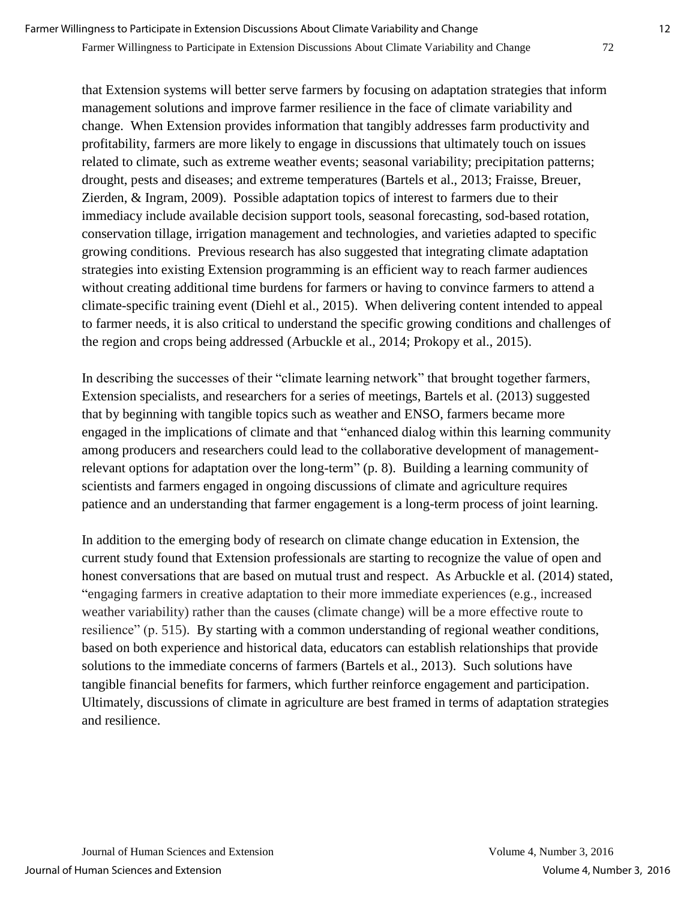#### Farmer Willingness to Participate in Extension Discussions About Climate Variability and Change 72

that Extension systems will better serve farmers by focusing on adaptation strategies that inform management solutions and improve farmer resilience in the face of climate variability and change. When Extension provides information that tangibly addresses farm productivity and profitability, farmers are more likely to engage in discussions that ultimately touch on issues related to climate, such as extreme weather events; seasonal variability; precipitation patterns; drought, pests and diseases; and extreme temperatures (Bartels et al., 2013; Fraisse, Breuer, Zierden, & Ingram, 2009). Possible adaptation topics of interest to farmers due to their immediacy include available decision support tools, seasonal forecasting, sod-based rotation, conservation tillage, irrigation management and technologies, and varieties adapted to specific growing conditions. Previous research has also suggested that integrating climate adaptation strategies into existing Extension programming is an efficient way to reach farmer audiences without creating additional time burdens for farmers or having to convince farmers to attend a climate-specific training event (Diehl et al., 2015). When delivering content intended to appeal to farmer needs, it is also critical to understand the specific growing conditions and challenges of the region and crops being addressed (Arbuckle et al., 2014; Prokopy et al., 2015).

In describing the successes of their "climate learning network" that brought together farmers, Extension specialists, and researchers for a series of meetings, Bartels et al. (2013) suggested that by beginning with tangible topics such as weather and ENSO, farmers became more engaged in the implications of climate and that "enhanced dialog within this learning community among producers and researchers could lead to the collaborative development of managementrelevant options for adaptation over the long-term" (p. 8). Building a learning community of scientists and farmers engaged in ongoing discussions of climate and agriculture requires patience and an understanding that farmer engagement is a long-term process of joint learning.

In addition to the emerging body of research on climate change education in Extension, the current study found that Extension professionals are starting to recognize the value of open and honest conversations that are based on mutual trust and respect. As Arbuckle et al. (2014) stated, "engaging farmers in creative adaptation to their more immediate experiences (e.g., increased weather variability) rather than the causes (climate change) will be a more effective route to resilience" (p. 515). By starting with a common understanding of regional weather conditions, based on both experience and historical data, educators can establish relationships that provide solutions to the immediate concerns of farmers (Bartels et al., 2013). Such solutions have tangible financial benefits for farmers, which further reinforce engagement and participation. Ultimately, discussions of climate in agriculture are best framed in terms of adaptation strategies and resilience.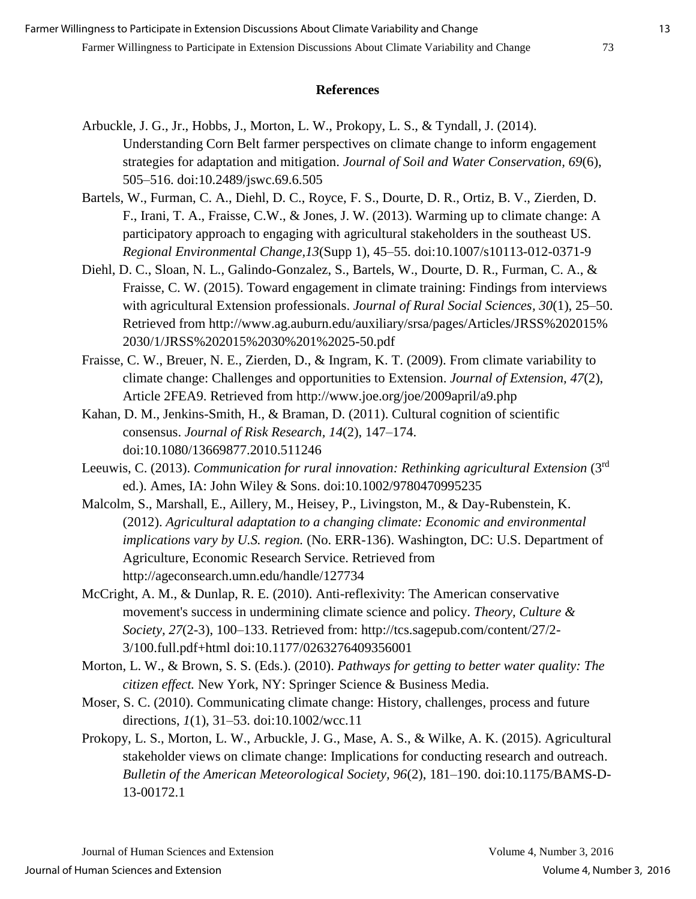### **References**

- Arbuckle, J. G., Jr., Hobbs, J., Morton, L. W., Prokopy, L. S., & Tyndall, J. (2014). Understanding Corn Belt farmer perspectives on climate change to inform engagement strategies for adaptation and mitigation. *Journal of Soil and Water Conservation, 69*(6), 505–516. doi:10.2489/jswc.69.6.505
- Bartels, W., Furman, C. A., Diehl, D. C., Royce, F. S., Dourte, D. R., Ortiz, B. V., Zierden, D. F., Irani, T. A., Fraisse, C.W., & Jones, J. W. (2013). Warming up to climate change: A participatory approach to engaging with agricultural stakeholders in the southeast US. *Regional Environmental Change,13*(Supp 1), 45–55. doi:10.1007/s10113-012-0371-9
- Diehl, D. C., Sloan, N. L., Galindo-Gonzalez, S., Bartels, W., Dourte, D. R., Furman, C. A., & Fraisse, C. W. (2015). Toward engagement in climate training: Findings from interviews with agricultural Extension professionals. *Journal of Rural Social Sciences, 30*(1), 25–50. Retrieved from http://www.ag.auburn.edu/auxiliary/srsa/pages/Articles/JRSS%202015% 2030/1/JRSS%202015%2030%201%2025-50.pdf
- Fraisse, C. W., Breuer, N. E., Zierden, D., & Ingram, K. T. (2009). From climate variability to climate change: Challenges and opportunities to Extension. *Journal of Extension, 47*(2), Article 2FEA9. Retrieved from http://www.joe.org/joe/2009april/a9.php
- Kahan, D. M., Jenkins-Smith, H., & Braman, D. (2011). Cultural cognition of scientific consensus. *Journal of Risk Research, 14*(2), 147–174. doi:10.1080/13669877.2010.511246
- Leeuwis, C. (2013). *Communication for rural innovation: Rethinking agricultural Extension* (3<sup>rd</sup> ed.). Ames, IA: John Wiley & Sons. doi:10.1002/9780470995235
- Malcolm, S., Marshall, E., Aillery, M., Heisey, P., Livingston, M., & Day-Rubenstein, K. (2012). *Agricultural adaptation to a changing climate: Economic and environmental implications vary by U.S. region.* (No. ERR-136). Washington, DC: U.S. Department of Agriculture, Economic Research Service. Retrieved from http://ageconsearch.umn.edu/handle/127734
- McCright, A. M., & Dunlap, R. E. (2010). Anti-reflexivity: The American conservative movement's success in undermining climate science and policy. *Theory, Culture & Society, 27*(2-3), 100–133. Retrieved from: http://tcs.sagepub.com/content/27/2- 3/100.full.pdf+html doi:10.1177/0263276409356001
- Morton, L. W., & Brown, S. S. (Eds.). (2010). *Pathways for getting to better water quality: The citizen effect.* New York, NY: Springer Science & Business Media.
- Moser, S. C. (2010). Communicating climate change: History, challenges, process and future directions, *1*(1), 31–53. doi:10.1002/wcc.11
- Prokopy, L. S., Morton, L. W., Arbuckle, J. G., Mase, A. S., & Wilke, A. K. (2015). Agricultural stakeholder views on climate change: Implications for conducting research and outreach. *Bulletin of the American Meteorological Society, 96*(2), 181–190. doi:10.1175/BAMS-D-13-00172.1